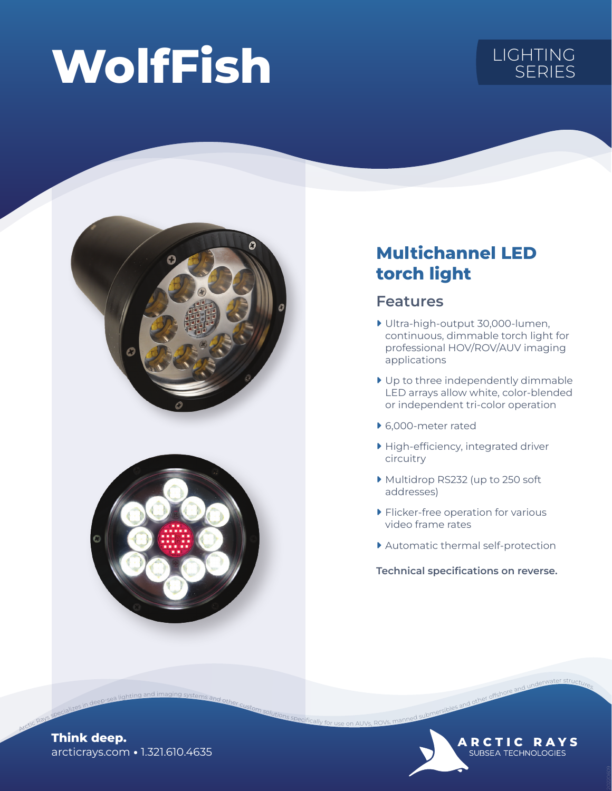# WolfFish LIGHTING SERIES





## Multichannel LED torch light

### Features

- ▶ Ultra-high-output 30,000-lumen, continuous, dimmable torch light for professional HOV/ROV/AUV imaging applications
- ▶ Up to three independently dimmable LED arrays allow white, color-blended or independent tri-color operation
- ▶ 6,000-meter rated
- ▶ High-efficiency, integrated driver circuitry
- ▶ Multidrop RS232 (up to 250 soft addresses)
- ▶ Flicker-free operation for various video frame rates
- ▶ Automatic thermal self-protection

Technical specifications on reverse.

Arctic Rays specific Rays specifications and underwater structures.

**ARCTIC RAYS** SUBSEA TECHNOLOGIES

arcticrays.com • 1.321.610.4635 Think deep.